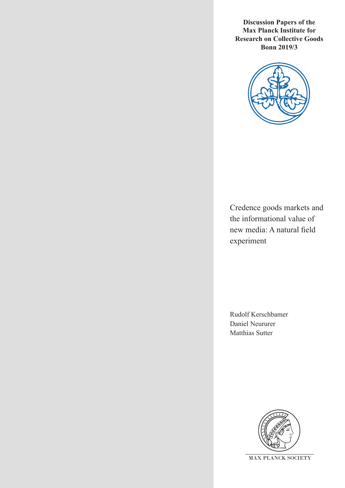**Discussion Papers of the Max Planck Institute for Research on Collective Goods Bonn 2019/3**



Credence goods markets and the informational value of new media: A natural field experiment

Rudolf Kerschbamer Daniel Neururer Matthias Sutter

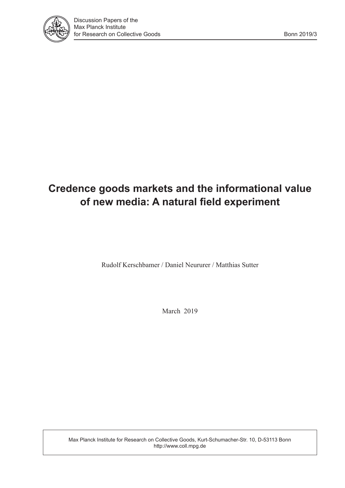

# **Credence goods markets and the informational value of new media: A natural field experiment**

Rudolf Kerschbamer / Daniel Neururer / Matthias Sutter

March 2019

Max Planck Institute for Research on Collective Goods, Kurt-Schumacher-Str. 10, D-53113 Bonn http://www.coll.mpg.de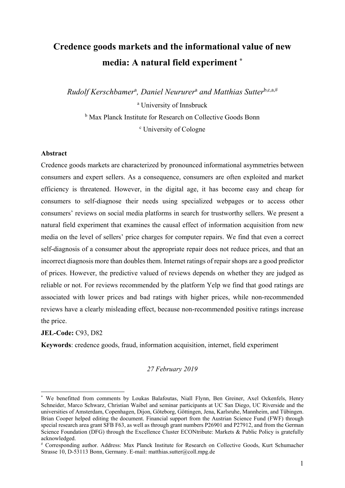# **Credence goods markets and the informational value of new media: A natural field experiment \***

*Rudolf Kerschbamer*<sup>a</sup> *, Daniel Neururer*<sup>a</sup>  *and Matthias Sutter*b,c,a,# a University of Innsbruck

**b** Max Planck Institute for Research on Collective Goods Bonn c University of Cologne

#### **Abstract**

Credence goods markets are characterized by pronounced informational asymmetries between consumers and expert sellers. As a consequence, consumers are often exploited and market efficiency is threatened. However, in the digital age, it has become easy and cheap for consumers to self-diagnose their needs using specialized webpages or to access other consumers' reviews on social media platforms in search for trustworthy sellers. We present a natural field experiment that examines the causal effect of information acquisition from new media on the level of sellers' price charges for computer repairs. We find that even a correct self-diagnosis of a consumer about the appropriate repair does not reduce prices, and that an incorrect diagnosis more than doubles them. Internet ratings of repair shops are a good predictor of prices. However, the predictive valued of reviews depends on whether they are judged as reliable or not. For reviews recommended by the platform Yelp we find that good ratings are associated with lower prices and bad ratings with higher prices, while non-recommended reviews have a clearly misleading effect, because non-recommended positive ratings increase the price.

**JEL-Code:** C93, D82

1

**Keywords**: credence goods, fraud, information acquisition, internet, field experiment

#### *27 February 2019*

<sup>\*</sup> We benefitted from comments by Loukas Balafoutas, Niall Flynn, Ben Greiner, Axel Ockenfels, Henry Schneider, Marco Schwarz, Christian Waibel and seminar participants at UC San Diego, UC Riverside and the universities of Amsterdam, Copenhagen, Dijon, Göteborg, Göttingen, Jena, Karlsruhe, Mannheim, and Tübingen. Brian Cooper helped editing the document. Financial support from the Austrian Science Fund (FWF) through special research area grant SFB F63, as well as through grant numbers P26901 and P27912, and from the German Science Foundation (DFG) through the Excellence Cluster ECONtribute: Markets & Public Policy is gratefully acknowledged.

<sup>#</sup> Corresponding author. Address: Max Planck Institute for Research on Collective Goods, Kurt Schumacher Strasse 10, D-53113 Bonn, Germany. E-mail: matthias.sutter@coll.mpg.de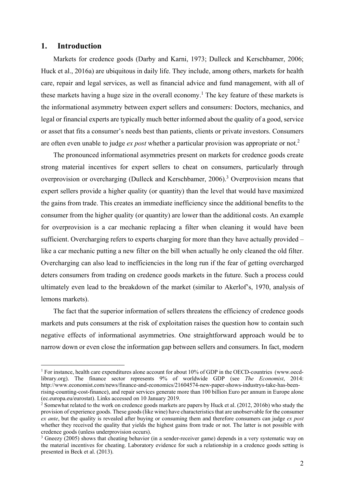### **1. Introduction**

1

Markets for credence goods (Darby and Karni, 1973; Dulleck and Kerschbamer, 2006; Huck et al., 2016a) are ubiquitous in daily life. They include, among others, markets for health care, repair and legal services, as well as financial advice and fund management, with all of these markets having a huge size in the overall economy.<sup>1</sup> The key feature of these markets is the informational asymmetry between expert sellers and consumers: Doctors, mechanics, and legal or financial experts are typically much better informed about the quality of a good, service or asset that fits a consumer's needs best than patients, clients or private investors. Consumers are often even unable to judge *ex post* whether a particular provision was appropriate or not.2

The pronounced informational asymmetries present on markets for credence goods create strong material incentives for expert sellers to cheat on consumers, particularly through overprovision or overcharging (Dulleck and Kerschbamer, 2006).<sup>3</sup> Overprovision means that expert sellers provide a higher quality (or quantity) than the level that would have maximized the gains from trade. This creates an immediate inefficiency since the additional benefits to the consumer from the higher quality (or quantity) are lower than the additional costs. An example for overprovision is a car mechanic replacing a filter when cleaning it would have been sufficient. Overcharging refers to experts charging for more than they have actually provided – like a car mechanic putting a new filter on the bill when actually he only cleaned the old filter. Overcharging can also lead to inefficiencies in the long run if the fear of getting overcharged deters consumers from trading on credence goods markets in the future. Such a process could ultimately even lead to the breakdown of the market (similar to Akerlof's, 1970, analysis of lemons markets).

The fact that the superior information of sellers threatens the efficiency of credence goods markets and puts consumers at the risk of exploitation raises the question how to contain such negative effects of informational asymmetries. One straightforward approach would be to narrow down or even close the information gap between sellers and consumers. In fact, modern

<sup>&</sup>lt;sup>1</sup> For instance, health care expenditures alone account for about 10% of GDP in the OECD-countries (www.oecdlibrary.org). The finance sector represents 9% of worldwide GDP (see *The Economist*, 2014: http://www.economist.com/news/finance-and-economics/21604574-new-paper-shows-industrys-take-has-beenrising-counting-cost-finance), and repair services generate more than 100 billion Euro per annum in Europe alone (ec.europa.eu/eurostat). Links accessed on 10 January 2019. 2

<sup>&</sup>lt;sup>2</sup> Somewhat related to the work on credence goods markets are papers by Huck et al. (2012, 2016b) who study the provision of experience goods. These goods (like wine) have characteristics that are unobservable for the consumer *ex ante*, but the quality is revealed after buying or consuming them and therefore consumers can judge *ex post*  whether they received the quality that yields the highest gains from trade or not. The latter is not possible with credence goods (unless underprovision occurs).

<sup>&</sup>lt;sup>3</sup> Gneezy (2005) shows that cheating behavior (in a sender-receiver game) depends in a very systematic way on the material incentives for cheating. Laboratory evidence for such a relationship in a credence goods setting is presented in Beck et al. (2013).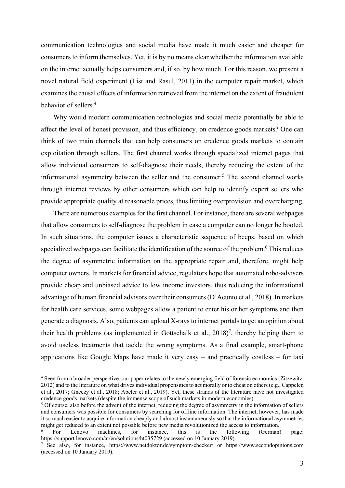communication technologies and social media have made it much easier and cheaper for consumers to inform themselves. Yet, it is by no means clear whether the information available on the internet actually helps consumers and, if so, by how much. For this reason, we present a novel natural field experiment (List and Rasul, 2011) in the computer repair market, which examines the causal effects of information retrieved from the internet on the extent of fraudulent behavior of sellers.4

Why would modern communication technologies and social media potentially be able to affect the level of honest provision, and thus efficiency, on credence goods markets? One can think of two main channels that can help consumers on credence goods markets to contain exploitation through sellers. The first channel works through specialized internet pages that allow individual consumers to self-diagnose their needs, thereby reducing the extent of the informational asymmetry between the seller and the consumer.<sup>5</sup> The second channel works through internet reviews by other consumers which can help to identify expert sellers who provide appropriate quality at reasonable prices, thus limiting overprovision and overcharging.

There are numerous examples for the first channel. For instance, there are several webpages that allow consumers to self-diagnose the problem in case a computer can no longer be booted. In such situations, the computer issues a characteristic sequence of beeps, based on which specialized webpages can facilitate the identification of the source of the problem.<sup>6</sup> This reduces the degree of asymmetric information on the appropriate repair and, therefore, might help computer owners. In markets for financial advice, regulators hope that automated robo-advisers provide cheap and unbiased advice to low income investors, thus reducing the informational advantage of human financial advisors over their consumers (D'Acunto et al., 2018). In markets for health care services, some webpages allow a patient to enter his or her symptoms and then generate a diagnosis. Also, patients can upload X-rays to internet portals to get an opinion about their health problems (as implemented in Gottschalk et al.,  $2018$ )<sup>7</sup>, thereby helping them to avoid useless treatments that tackle the wrong symptoms. As a final example, smart-phone applications like Google Maps have made it very easy – and practically costless – for taxi

<sup>4</sup> Seen from a broader perspective, our paper relates to the newly emerging field of forensic economics (Zitzewitz, 2012) and to the literature on what drives individual propensities to act morally or to cheat on others (e.g., Cappelen et al., 2017; Gneezy et al., 2018; Abeler et al., 2019). Yet, these strands of the literature have not investigated credence goods markets (despite the immense scope of such markets in modern economies). 5

<sup>&</sup>lt;sup>5</sup> Of course, also before the advent of the internet, reducing the degree of asymmetry in the information of sellers and consumers was possible for consumers by searching for offline information. The internet, however, has made it so much easier to acquire information cheaply and almost instantaneously so that the informational asymmetries might get reduced to an extent not possible before new media revolutionized the access to information.<br>
<sup>6</sup> For Lenovo machines. for instance, this is the following (German)

<sup>6</sup> For Lenovo machines, for instance, this is the following (German) page: https://support.lenovo.com/at/en/solutions/ht035729 (accessed on 10 January 2019).

<sup>&</sup>lt;sup>7</sup> See also, for instance, https://www.netdoktor.de/symptom-checker/ or https://www.secondopinions.com (accessed on 10 January 2019).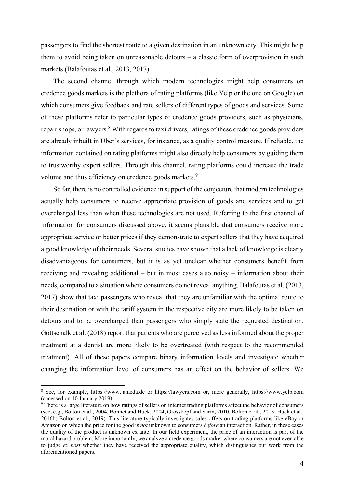passengers to find the shortest route to a given destination in an unknown city. This might help them to avoid being taken on unreasonable detours – a classic form of overprovision in such markets (Balafoutas et al., 2013, 2017).

The second channel through which modern technologies might help consumers on credence goods markets is the plethora of rating platforms (like Yelp or the one on Google) on which consumers give feedback and rate sellers of different types of goods and services. Some of these platforms refer to particular types of credence goods providers, such as physicians, repair shops, or lawyers.<sup>8</sup> With regards to taxi drivers, ratings of these credence goods providers are already inbuilt in Uber's services, for instance, as a quality control measure. If reliable, the information contained on rating platforms might also directly help consumers by guiding them to trustworthy expert sellers. Through this channel, rating platforms could increase the trade volume and thus efficiency on credence goods markets.<sup>9</sup>

So far, there is no controlled evidence in support of the conjecture that modern technologies actually help consumers to receive appropriate provision of goods and services and to get overcharged less than when these technologies are not used. Referring to the first channel of information for consumers discussed above, it seems plausible that consumers receive more appropriate service or better prices if they demonstrate to expert sellers that they have acquired a good knowledge of their needs. Several studies have shown that a lack of knowledge is clearly disadvantageous for consumers, but it is as yet unclear whether consumers benefit from receiving and revealing additional – but in most cases also noisy – information about their needs, compared to a situation where consumers do not reveal anything. Balafoutas et al. (2013, 2017) show that taxi passengers who reveal that they are unfamiliar with the optimal route to their destination or with the tariff system in the respective city are more likely to be taken on detours and to be overcharged than passengers who simply state the requested destination. Gottschalk et al. (2018) report that patients who are perceived as less informed about the proper treatment at a dentist are more likely to be overtreated (with respect to the recommended treatment). All of these papers compare binary information levels and investigate whether changing the information level of consumers has an effect on the behavior of sellers. We

<sup>8</sup> See, for example, https://www.jameda.de or https://lawyers.com or, more generally, https://www.yelp.com (accessed on 10 January 2019).

<sup>&</sup>lt;sup>9</sup> There is a large literature on how ratings of sellers on internet trading platforms affect the behavior of consumers (see, e.g., Bolton et al., 2004, Bohnet and Huck, 2004, Grosskopf and Sarin, 2010, Bolton et al., 2013; Huck et al., 2016b; Bolton et al., 2019). This literature typically investigates sales offers on trading platforms like eBay or Amazon on which the price for the good is *not* unknown to consumers *before* an interaction. Rather, in these cases the quality of the product is unknown ex ante. In our field experiment, the price of an interaction is part of the moral hazard problem. More importantly, we analyze a credence goods market where consumers are not even able to judge *ex post* whether they have received the appropriate quality, which distinguishes our work from the aforementioned papers.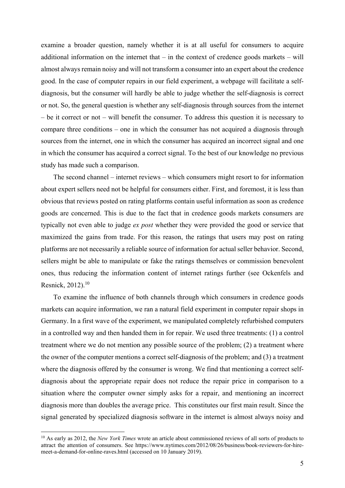examine a broader question, namely whether it is at all useful for consumers to acquire additional information on the internet that  $-$  in the context of credence goods markets  $-$  will almost always remain noisy and will not transform a consumer into an expert about the credence good. In the case of computer repairs in our field experiment, a webpage will facilitate a selfdiagnosis, but the consumer will hardly be able to judge whether the self-diagnosis is correct or not. So, the general question is whether any self-diagnosis through sources from the internet – be it correct or not – will benefit the consumer. To address this question it is necessary to compare three conditions – one in which the consumer has not acquired a diagnosis through sources from the internet, one in which the consumer has acquired an incorrect signal and one in which the consumer has acquired a correct signal. To the best of our knowledge no previous study has made such a comparison.

The second channel – internet reviews – which consumers might resort to for information about expert sellers need not be helpful for consumers either. First, and foremost, it is less than obvious that reviews posted on rating platforms contain useful information as soon as credence goods are concerned. This is due to the fact that in credence goods markets consumers are typically not even able to judge *ex post* whether they were provided the good or service that maximized the gains from trade. For this reason, the ratings that users may post on rating platforms are not necessarily a reliable source of information for actual seller behavior. Second, sellers might be able to manipulate or fake the ratings themselves or commission benevolent ones, thus reducing the information content of internet ratings further (see Ockenfels and Resnick, 2012).<sup>10</sup>

To examine the influence of both channels through which consumers in credence goods markets can acquire information, we ran a natural field experiment in computer repair shops in Germany. In a first wave of the experiment, we manipulated completely refurbished computers in a controlled way and then handed them in for repair. We used three treatments: (1) a control treatment where we do not mention any possible source of the problem; (2) a treatment where the owner of the computer mentions a correct self-diagnosis of the problem; and (3) a treatment where the diagnosis offered by the consumer is wrong. We find that mentioning a correct selfdiagnosis about the appropriate repair does not reduce the repair price in comparison to a situation where the computer owner simply asks for a repair, and mentioning an incorrect diagnosis more than doubles the average price. This constitutes our first main result. Since the signal generated by specialized diagnosis software in the internet is almost always noisy and

<sup>&</sup>lt;sup>10</sup> As early as 2012, the *New York Times* wrote an article about commissioned reviews of all sorts of products to attract the attention of consumers. See https://www.nytimes.com/2012/08/26/business/book-reviewers-for-hiremeet-a-demand-for-online-raves.html (accessed on 10 January 2019).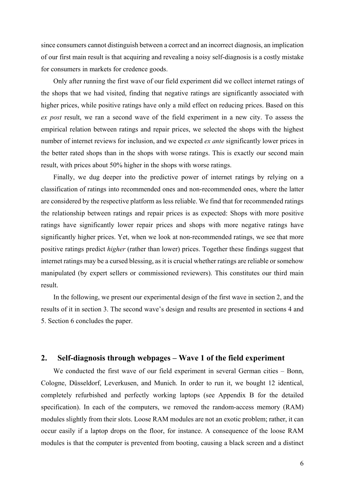since consumers cannot distinguish between a correct and an incorrect diagnosis, an implication of our first main result is that acquiring and revealing a noisy self-diagnosis is a costly mistake for consumers in markets for credence goods.

Only after running the first wave of our field experiment did we collect internet ratings of the shops that we had visited, finding that negative ratings are significantly associated with higher prices, while positive ratings have only a mild effect on reducing prices. Based on this *ex post* result, we ran a second wave of the field experiment in a new city. To assess the empirical relation between ratings and repair prices, we selected the shops with the highest number of internet reviews for inclusion, and we expected *ex ante* significantly lower prices in the better rated shops than in the shops with worse ratings. This is exactly our second main result, with prices about 50% higher in the shops with worse ratings.

Finally, we dug deeper into the predictive power of internet ratings by relying on a classification of ratings into recommended ones and non-recommended ones, where the latter are considered by the respective platform as less reliable. We find that for recommended ratings the relationship between ratings and repair prices is as expected: Shops with more positive ratings have significantly lower repair prices and shops with more negative ratings have significantly higher prices. Yet, when we look at non-recommended ratings, we see that more positive ratings predict *higher* (rather than lower) prices. Together these findings suggest that internet ratings may be a cursed blessing, as it is crucial whether ratings are reliable or somehow manipulated (by expert sellers or commissioned reviewers). This constitutes our third main result.

In the following, we present our experimental design of the first wave in section 2, and the results of it in section 3. The second wave's design and results are presented in sections 4 and 5. Section 6 concludes the paper.

### **2. Self-diagnosis through webpages – Wave 1 of the field experiment**

We conducted the first wave of our field experiment in several German cities – Bonn, Cologne, Düsseldorf, Leverkusen, and Munich. In order to run it, we bought 12 identical, completely refurbished and perfectly working laptops (see Appendix B for the detailed specification). In each of the computers, we removed the random-access memory (RAM) modules slightly from their slots. Loose RAM modules are not an exotic problem; rather, it can occur easily if a laptop drops on the floor, for instance. A consequence of the loose RAM modules is that the computer is prevented from booting, causing a black screen and a distinct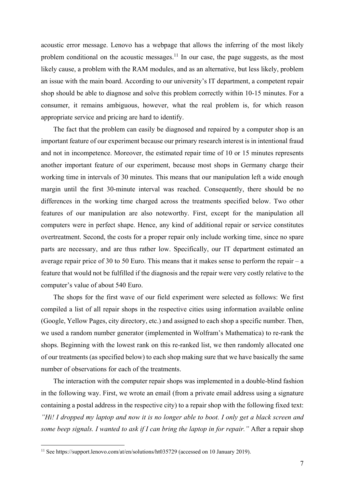acoustic error message. Lenovo has a webpage that allows the inferring of the most likely problem conditional on the acoustic messages.<sup>11</sup> In our case, the page suggests, as the most likely cause, a problem with the RAM modules, and as an alternative, but less likely, problem an issue with the main board. According to our university's IT department, a competent repair shop should be able to diagnose and solve this problem correctly within 10-15 minutes. For a consumer, it remains ambiguous, however, what the real problem is, for which reason appropriate service and pricing are hard to identify.

The fact that the problem can easily be diagnosed and repaired by a computer shop is an important feature of our experiment because our primary research interest is in intentional fraud and not in incompetence. Moreover, the estimated repair time of 10 or 15 minutes represents another important feature of our experiment, because most shops in Germany charge their working time in intervals of 30 minutes. This means that our manipulation left a wide enough margin until the first 30-minute interval was reached. Consequently, there should be no differences in the working time charged across the treatments specified below. Two other features of our manipulation are also noteworthy. First, except for the manipulation all computers were in perfect shape. Hence, any kind of additional repair or service constitutes overtreatment. Second, the costs for a proper repair only include working time, since no spare parts are necessary, and are thus rather low. Specifically, our IT department estimated an average repair price of 30 to 50 Euro. This means that it makes sense to perform the repair – a feature that would not be fulfilled if the diagnosis and the repair were very costly relative to the computer's value of about 540 Euro.

The shops for the first wave of our field experiment were selected as follows: We first compiled a list of all repair shops in the respective cities using information available online (Google, Yellow Pages, city directory, etc.) and assigned to each shop a specific number. Then, we used a random number generator (implemented in Wolfram's Mathematica) to re-rank the shops. Beginning with the lowest rank on this re-ranked list, we then randomly allocated one of our treatments (as specified below) to each shop making sure that we have basically the same number of observations for each of the treatments.

The interaction with the computer repair shops was implemented in a double-blind fashion in the following way. First, we wrote an email (from a private email address using a signature containing a postal address in the respective city) to a repair shop with the following fixed text: *"Hi! I dropped my laptop and now it is no longer able to boot. I only get a black screen and some beep signals. I wanted to ask if I can bring the laptop in for repair."* After a repair shop

<sup>&</sup>lt;sup>11</sup> See https://support.lenovo.com/at/en/solutions/ht035729 (accessed on 10 January 2019).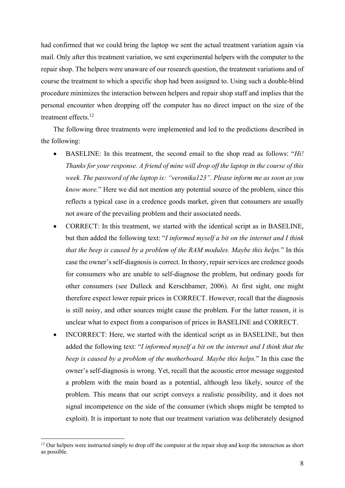had confirmed that we could bring the laptop we sent the actual treatment variation again via mail. Only after this treatment variation, we sent experimental helpers with the computer to the repair shop. The helpers were unaware of our research question, the treatment variations and of course the treatment to which a specific shop had been assigned to. Using such a double-blind procedure minimizes the interaction between helpers and repair shop staff and implies that the personal encounter when dropping off the computer has no direct impact on the size of the treatment effects.12

The following three treatments were implemented and led to the predictions described in the following:

- BASELINE: In this treatment, the second email to the shop read as follows: "*Hi! Thanks for your response. A friend of mine will drop off the laptop in the course of this week. The password of the laptop is: "veronika123". Please inform me as soon as you know more.*" Here we did not mention any potential source of the problem, since this reflects a typical case in a credence goods market, given that consumers are usually not aware of the prevailing problem and their associated needs.
- CORRECT: In this treatment, we started with the identical script as in BASELINE, but then added the following text: "*I informed myself a bit on the internet and I think that the beep is caused by a problem of the RAM modules. Maybe this helps.*" In this case the owner's self-diagnosis is correct. In theory, repair services are credence goods for consumers who are unable to self-diagnose the problem, but ordinary goods for other consumers (see Dulleck and Kerschbamer, 2006). At first sight, one might therefore expect lower repair prices in CORRECT. However, recall that the diagnosis is still noisy, and other sources might cause the problem. For the latter reason, it is unclear what to expect from a comparison of prices in BASELINE and CORRECT.
- INCORRECT: Here, we started with the identical script as in BASELINE, but then added the following text: "*I informed myself a bit on the internet and I think that the beep is caused by a problem of the motherboard. Maybe this helps.*" In this case the owner's self-diagnosis is wrong. Yet, recall that the acoustic error message suggested a problem with the main board as a potential, although less likely, source of the problem. This means that our script conveys a realistic possibility, and it does not signal incompetence on the side of the consumer (which shops might be tempted to exploit). It is important to note that our treatment variation was deliberately designed

<sup>&</sup>lt;sup>12</sup> Our helpers were instructed simply to drop off the computer at the repair shop and keep the interaction as short as possible.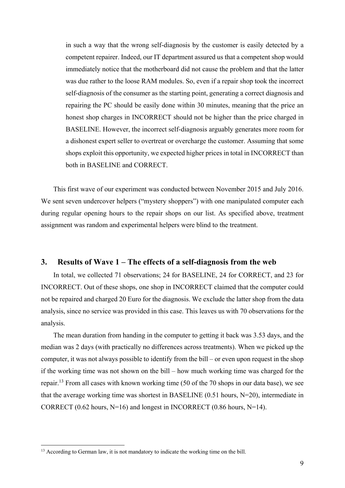in such a way that the wrong self-diagnosis by the customer is easily detected by a competent repairer. Indeed, our IT department assured us that a competent shop would immediately notice that the motherboard did not cause the problem and that the latter was due rather to the loose RAM modules. So, even if a repair shop took the incorrect self-diagnosis of the consumer as the starting point, generating a correct diagnosis and repairing the PC should be easily done within 30 minutes, meaning that the price an honest shop charges in INCORRECT should not be higher than the price charged in BASELINE. However, the incorrect self-diagnosis arguably generates more room for a dishonest expert seller to overtreat or overcharge the customer. Assuming that some shops exploit this opportunity, we expected higher prices in total in INCORRECT than both in BASELINE and CORRECT.

This first wave of our experiment was conducted between November 2015 and July 2016. We sent seven undercover helpers ("mystery shoppers") with one manipulated computer each during regular opening hours to the repair shops on our list. As specified above, treatment assignment was random and experimental helpers were blind to the treatment.

### **3. Results of Wave 1 – The effects of a self-diagnosis from the web**

In total, we collected 71 observations; 24 for BASELINE, 24 for CORRECT, and 23 for INCORRECT. Out of these shops, one shop in INCORRECT claimed that the computer could not be repaired and charged 20 Euro for the diagnosis. We exclude the latter shop from the data analysis, since no service was provided in this case. This leaves us with 70 observations for the analysis.

The mean duration from handing in the computer to getting it back was 3.53 days, and the median was 2 days (with practically no differences across treatments). When we picked up the computer, it was not always possible to identify from the bill – or even upon request in the shop if the working time was not shown on the bill – how much working time was charged for the repair.13 From all cases with known working time (50 of the 70 shops in our data base), we see that the average working time was shortest in BASELINE  $(0.51$  hours, N=20), intermediate in CORRECT (0.62 hours,  $N=16$ ) and longest in INCORRECT (0.86 hours,  $N=14$ ).

<sup>&</sup>lt;sup>13</sup> According to German law, it is not mandatory to indicate the working time on the bill.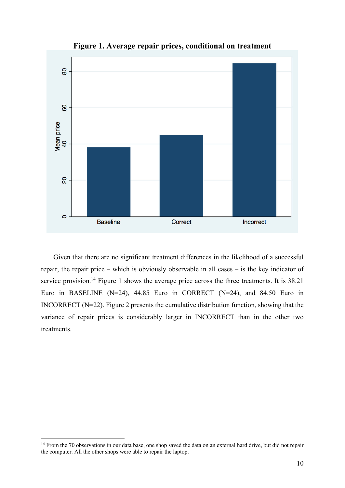

**Figure 1. Average repair prices, conditional on treatment**

Given that there are no significant treatment differences in the likelihood of a successful repair, the repair price – which is obviously observable in all cases – is the key indicator of service provision.<sup>14</sup> Figure 1 shows the average price across the three treatments. It is 38.21 Euro in BASELINE (N=24), 44.85 Euro in CORRECT (N=24), and 84.50 Euro in INCORRECT (N=22). Figure 2 presents the cumulative distribution function, showing that the variance of repair prices is considerably larger in INCORRECT than in the other two treatments.

<sup>&</sup>lt;sup>14</sup> From the 70 observations in our data base, one shop saved the data on an external hard drive, but did not repair the computer. All the other shops were able to repair the laptop.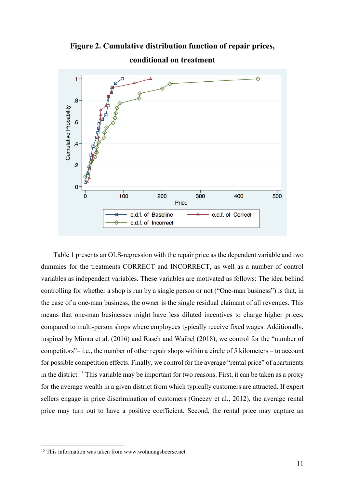**Figure 2. Cumulative distribution function of repair prices,** 



**conditional on treatment** 

Table 1 presents an OLS-regression with the repair price as the dependent variable and two dummies for the treatments CORRECT and INCORRECT, as well as a number of control variables as independent variables. These variables are motivated as follows: The idea behind controlling for whether a shop is run by a single person or not ("One-man business") is that, in the case of a one-man business, the owner is the single residual claimant of all revenues. This means that one-man businesses might have less diluted incentives to charge higher prices, compared to multi-person shops where employees typically receive fixed wages. Additionally, inspired by Mimra et al. (2016) and Rasch and Waibel (2018), we control for the "number of competitors"– i.e., the number of other repair shops within a circle of 5 kilometers – to account for possible competition effects. Finally, we control for the average "rental price" of apartments in the district.<sup>15</sup> This variable may be important for two reasons. First, it can be taken as a proxy for the average wealth in a given district from which typically customers are attracted. If expert sellers engage in price discrimination of customers (Gneezy et al., 2012), the average rental price may turn out to have a positive coefficient. Second, the rental price may capture an

<sup>&</sup>lt;sup>15</sup> This information was taken from www.wohnungsboerse.net.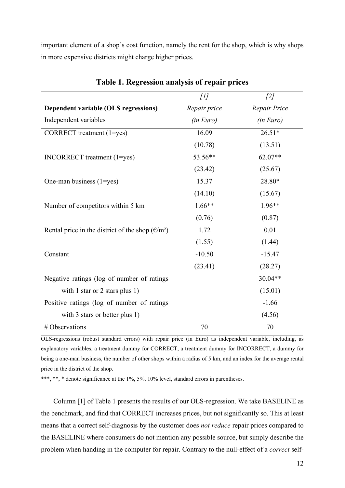important element of a shop's cost function, namely the rent for the shop, which is why shops in more expensive districts might charge higher prices.

|                                                                                          | $[1]$        | [2]          |
|------------------------------------------------------------------------------------------|--------------|--------------|
| Dependent variable (OLS regressions)                                                     | Repair price | Repair Price |
| Independent variables                                                                    | (in Euro)    | (in Euro)    |
| CORRECT treatment (1=yes)                                                                | 16.09        | $26.51*$     |
|                                                                                          | (10.78)      | (13.51)      |
| INCORRECT treatment (1=yes)                                                              | 53.56**      | $62.07**$    |
|                                                                                          | (23.42)      | (25.67)      |
| One-man business $(1 = yes)$                                                             | 15.37        | 28.80*       |
|                                                                                          | (14.10)      | (15.67)      |
| Number of competitors within 5 km                                                        | $1.66**$     | $1.96**$     |
|                                                                                          | (0.76)       | (0.87)       |
| Rental price in the district of the shop $(\text{\ensuremath{\mathfrak{E}}}/\text{m}^2)$ | 1.72         | 0.01         |
|                                                                                          | (1.55)       | (1.44)       |
| Constant                                                                                 | $-10.50$     | $-15.47$     |
|                                                                                          | (23.41)      | (28.27)      |
| Negative ratings (log of number of ratings                                               |              | $30.04**$    |
| with 1 star or 2 stars plus 1)                                                           |              | (15.01)      |
| Positive ratings (log of number of ratings                                               |              | $-1.66$      |
| with 3 stars or better plus 1)                                                           |              | (4.56)       |
| # Observations                                                                           | 70           | 70           |

### **Table 1. Regression analysis of repair prices**

OLS-regressions (robust standard errors) with repair price (in Euro) as independent variable, including, as explanatory variables, a treatment dummy for CORRECT, a treatment dummy for INCORRECT, a dummy for being a one-man business, the number of other shops within a radius of 5 km, and an index for the average rental price in the district of the shop.

\*\*\*, \*\*, \* denote significance at the 1%, 5%, 10% level, standard errors in parentheses.

Column [1] of Table 1 presents the results of our OLS-regression. We take BASELINE as the benchmark, and find that CORRECT increases prices, but not significantly so. This at least means that a correct self-diagnosis by the customer does *not reduce* repair prices compared to the BASELINE where consumers do not mention any possible source, but simply describe the problem when handing in the computer for repair. Contrary to the null-effect of a *correct* self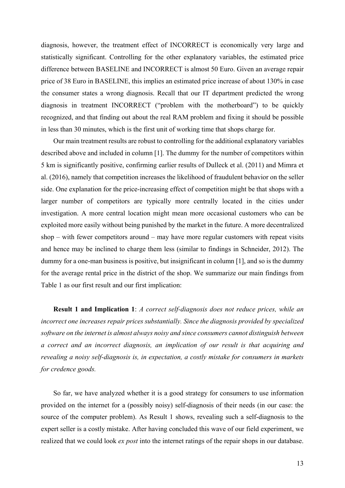diagnosis, however, the treatment effect of INCORRECT is economically very large and statistically significant. Controlling for the other explanatory variables, the estimated price difference between BASELINE and INCORRECT is almost 50 Euro. Given an average repair price of 38 Euro in BASELINE, this implies an estimated price increase of about 130% in case the consumer states a wrong diagnosis. Recall that our IT department predicted the wrong diagnosis in treatment INCORRECT ("problem with the motherboard") to be quickly recognized, and that finding out about the real RAM problem and fixing it should be possible in less than 30 minutes, which is the first unit of working time that shops charge for.

Our main treatment results are robust to controlling for the additional explanatory variables described above and included in column [1]. The dummy for the number of competitors within 5 km is significantly positive, confirming earlier results of Dulleck et al. (2011) and Mimra et al. (2016), namely that competition increases the likelihood of fraudulent behavior on the seller side. One explanation for the price-increasing effect of competition might be that shops with a larger number of competitors are typically more centrally located in the cities under investigation. A more central location might mean more occasional customers who can be exploited more easily without being punished by the market in the future. A more decentralized shop – with fewer competitors around – may have more regular customers with repeat visits and hence may be inclined to charge them less (similar to findings in Schneider, 2012). The dummy for a one-man business is positive, but insignificant in column [1], and so is the dummy for the average rental price in the district of the shop. We summarize our main findings from Table 1 as our first result and our first implication:

**Result 1 and Implication 1**: *A correct self-diagnosis does not reduce prices, while an incorrect one increases repair prices substantially. Since the diagnosis provided by specialized software on the internet is almost always noisy and since consumers cannot distinguish between a correct and an incorrect diagnosis, an implication of our result is that acquiring and revealing a noisy self-diagnosis is, in expectation, a costly mistake for consumers in markets for credence goods.*

So far, we have analyzed whether it is a good strategy for consumers to use information provided on the internet for a (possibly noisy) self-diagnosis of their needs (in our case: the source of the computer problem). As Result 1 shows, revealing such a self-diagnosis to the expert seller is a costly mistake. After having concluded this wave of our field experiment, we realized that we could look *ex post* into the internet ratings of the repair shops in our database.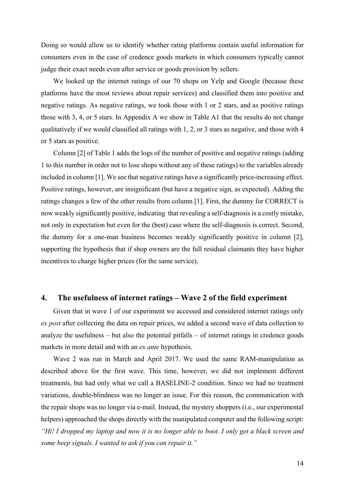Doing so would allow us to identify whether rating platforms contain useful information for consumers even in the case of credence goods markets in which consumers typically cannot judge their exact needs even after service or goods provision by sellers.

We looked up the internet ratings of our 70 shops on Yelp and Google (because these platforms have the most reviews about repair services) and classified them into positive and negative ratings. As negative ratings, we took those with 1 or 2 stars, and as positive ratings those with 3, 4, or 5 stars. In Appendix A we show in Table A1 that the results do not change qualitatively if we would classified all ratings with 1, 2, or 3 stars as negative, and those with 4 or 5 stars as positive.

Column [2] of Table 1 adds the logs of the number of positive and negative ratings (adding 1 to this number in order not to lose shops without any of these ratings) to the variables already included in column [1]. We see that negative ratings have a significantly price-increasing effect. Positive ratings, however, are insignificant (but have a negative sign, as expected). Adding the ratings changes a few of the other results from column [1]. First, the dummy for CORRECT is now weakly significantly positive, indicating that revealing a self-diagnosis is a costly mistake, not only in expectation but even for the (best) case where the self-diagnosis is correct. Second, the dummy for a one-man business becomes weakly significantly positive in column [2], supporting the hypothesis that if shop owners are the full residual claimants they have higher incentives to charge higher prices (for the same service).

### **4. The usefulness of internet ratings – Wave 2 of the field experiment**

Given that in wave 1 of our experiment we accessed and considered internet ratings only *ex post* after collecting the data on repair prices, we added a second wave of data collection to analyze the usefulness – but also the potential pitfalls – of internet ratings in credence goods markets in more detail and with an *ex ante* hypothesis.

Wave 2 was run in March and April 2017. We used the same RAM-manipulation as described above for the first wave. This time, however, we did not implement different treatments, but had only what we call a BASELINE-2 condition. Since we had no treatment variations, double-blindness was no longer an issue. For this reason, the communication with the repair shops was no longer via e-mail. Instead, the mystery shoppers (i.e., our experimental helpers) approached the shops directly with the manipulated computer and the following script: *"Hi! I dropped my laptop and now it is no longer able to boot. I only get a black screen and some beep signals. I wanted to ask if you can repair it."*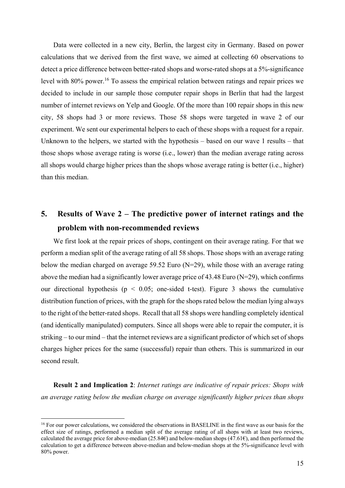Data were collected in a new city, Berlin, the largest city in Germany. Based on power calculations that we derived from the first wave, we aimed at collecting 60 observations to detect a price difference between better-rated shops and worse-rated shops at a 5%-significance level with 80% power.<sup>16</sup> To assess the empirical relation between ratings and repair prices we decided to include in our sample those computer repair shops in Berlin that had the largest number of internet reviews on Yelp and Google. Of the more than 100 repair shops in this new city, 58 shops had 3 or more reviews. Those 58 shops were targeted in wave 2 of our experiment. We sent our experimental helpers to each of these shops with a request for a repair. Unknown to the helpers, we started with the hypothesis – based on our wave 1 results – that those shops whose average rating is worse (i.e., lower) than the median average rating across all shops would charge higher prices than the shops whose average rating is better (i.e., higher) than this median.

## **5. Results of Wave 2 – The predictive power of internet ratings and the problem with non-recommended reviews**

We first look at the repair prices of shops, contingent on their average rating. For that we perform a median split of the average rating of all 58 shops. Those shops with an average rating below the median charged on average 59.52 Euro (N=29), while those with an average rating above the median had a significantly lower average price of 43.48 Euro ( $N=29$ ), which confirms our directional hypothesis ( $p < 0.05$ ; one-sided t-test). Figure 3 shows the cumulative distribution function of prices, with the graph for the shops rated below the median lying always to the right of the better-rated shops. Recall that all 58 shops were handling completely identical (and identically manipulated) computers. Since all shops were able to repair the computer, it is striking – to our mind – that the internet reviews are a significant predictor of which set of shops charges higher prices for the same (successful) repair than others. This is summarized in our second result.

**Result 2 and Implication 2**: *Internet ratings are indicative of repair prices: Shops with an average rating below the median charge on average significantly higher prices than shops* 

<sup>&</sup>lt;sup>16</sup> For our power calculations, we considered the observations in BASELINE in the first wave as our basis for the effect size of ratings, performed a median split of the average rating of all shops with at least two reviews, calculated the average price for above-median (25.84€) and below-median shops (47.61€), and then performed the calculation to get a difference between above-median and below-median shops at the 5%-significance level with 80% power.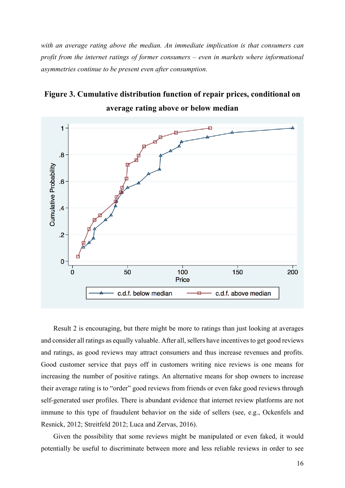*with an average rating above the median. An immediate implication is that consumers can profit from the internet ratings of former consumers – even in markets where informational asymmetries continue to be present even after consumption.*

## **Figure 3. Cumulative distribution function of repair prices, conditional on average rating above or below median**



Result 2 is encouraging, but there might be more to ratings than just looking at averages and consider all ratings as equally valuable. After all, sellers have incentives to get good reviews and ratings, as good reviews may attract consumers and thus increase revenues and profits. Good customer service that pays off in customers writing nice reviews is one means for increasing the number of positive ratings. An alternative means for shop owners to increase their average rating is to "order" good reviews from friends or even fake good reviews through self-generated user profiles. There is abundant evidence that internet review platforms are not immune to this type of fraudulent behavior on the side of sellers (see, e.g., Ockenfels and Resnick, 2012; Streitfeld 2012; Luca and Zervas, 2016).

Given the possibility that some reviews might be manipulated or even faked, it would potentially be useful to discriminate between more and less reliable reviews in order to see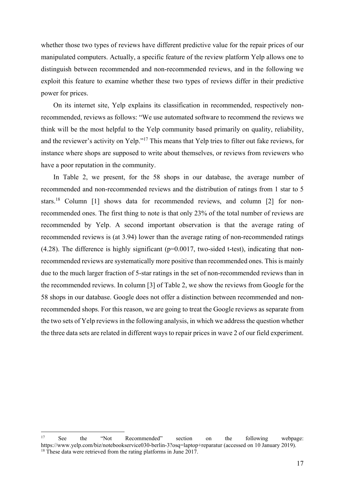whether those two types of reviews have different predictive value for the repair prices of our manipulated computers. Actually, a specific feature of the review platform Yelp allows one to distinguish between recommended and non-recommended reviews, and in the following we exploit this feature to examine whether these two types of reviews differ in their predictive power for prices.

On its internet site, Yelp explains its classification in recommended, respectively nonrecommended, reviews as follows: "We use automated software to recommend the reviews we think will be the most helpful to the Yelp community based primarily on quality, reliability, and the reviewer's activity on Yelp."17 This means that Yelp tries to filter out fake reviews, for instance where shops are supposed to write about themselves, or reviews from reviewers who have a poor reputation in the community.

In Table 2, we present, for the 58 shops in our database, the average number of recommended and non-recommended reviews and the distribution of ratings from 1 star to 5 stars.18 Column [1] shows data for recommended reviews, and column [2] for nonrecommended ones. The first thing to note is that only 23% of the total number of reviews are recommended by Yelp. A second important observation is that the average rating of recommended reviews is (at 3.94) lower than the average rating of non-recommended ratings (4.28). The difference is highly significant ( $p=0.0017$ , two-sided t-test), indicating that nonrecommended reviews are systematically more positive than recommended ones. This is mainly due to the much larger fraction of 5-star ratings in the set of non-recommended reviews than in the recommended reviews. In column [3] of Table 2, we show the reviews from Google for the 58 shops in our database. Google does not offer a distinction between recommended and nonrecommended shops. For this reason, we are going to treat the Google reviews as separate from the two sets of Yelp reviews in the following analysis, in which we address the question whether the three data sets are related in different ways to repair prices in wave 2 of our field experiment.

<sup>17</sup> See the "Not Recommended" section on the following webpage: https://www.yelp.com/biz/notebookservice030-berlin-3?osq=laptop+reparatur (accessed on 10 January 2019). <sup>18</sup> These data were retrieved from the rating platforms in June 2017.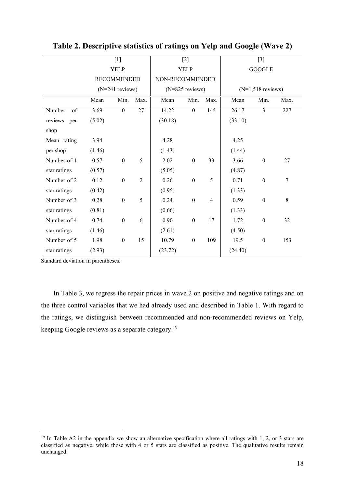|                |        | $[1]$              |                |                 | $[2]$             |                |         | $[3]$               |      |
|----------------|--------|--------------------|----------------|-----------------|-------------------|----------------|---------|---------------------|------|
|                |        | <b>YELP</b>        |                |                 | <b>YELP</b>       |                |         | <b>GOOGLE</b>       |      |
|                |        | <b>RECOMMENDED</b> |                | NON-RECOMMENDED |                   |                |         |                     |      |
|                |        | $(N=241$ reviews)  |                |                 | $(N=825$ reviews) |                |         | $(N=1,518$ reviews) |      |
|                | Mean   | Min.               | Max.           | Mean            | Min.              | Max.           | Mean    | Min.                | Max. |
| of<br>Number   | 3.69   | $\overline{0}$     | 27             | 14.22           | $\boldsymbol{0}$  | 145            | 26.17   | 3                   | 227  |
| reviews<br>per | (5.02) |                    |                | (30.18)         |                   |                | (33.10) |                     |      |
| shop           |        |                    |                |                 |                   |                |         |                     |      |
| Mean rating    | 3.94   |                    |                | 4.28            |                   |                | 4.25    |                     |      |
| per shop       | (1.46) |                    |                | (1.43)          |                   |                | (1.44)  |                     |      |
| Number of 1    | 0.57   | $\boldsymbol{0}$   | 5              | 2.02            | $\boldsymbol{0}$  | 33             | 3.66    | $\boldsymbol{0}$    | 27   |
| star ratings   | (0.57) |                    |                | (5.05)          |                   |                | (4.87)  |                     |      |
| Number of 2    | 0.12   | $\boldsymbol{0}$   | $\overline{2}$ | 0.26            | $\boldsymbol{0}$  | 5              | 0.71    | $\boldsymbol{0}$    | 7    |
| star ratings   | (0.42) |                    |                | (0.95)          |                   |                | (1.33)  |                     |      |
| Number of 3    | 0.28   | $\boldsymbol{0}$   | 5              | 0.24            | $\boldsymbol{0}$  | $\overline{4}$ | 0.59    | $\boldsymbol{0}$    | 8    |
| star ratings   | (0.81) |                    |                | (0.66)          |                   |                | (1.33)  |                     |      |
| Number of 4    | 0.74   | $\boldsymbol{0}$   | 6              | 0.90            | $\boldsymbol{0}$  | 17             | 1.72    | $\boldsymbol{0}$    | 32   |
| star ratings   | (1.46) |                    |                | (2.61)          |                   |                | (4.50)  |                     |      |
| Number of 5    | 1.98   | $\boldsymbol{0}$   | 15             | 10.79           | $\boldsymbol{0}$  | 109            | 19.5    | $\boldsymbol{0}$    | 153  |
| star ratings   | (2.93) |                    |                | (23.72)         |                   |                | (24.40) |                     |      |

**Table 2. Descriptive statistics of ratings on Yelp and Google (Wave 2)** 

Standard deviation in parentheses.

1

In Table 3, we regress the repair prices in wave 2 on positive and negative ratings and on the three control variables that we had already used and described in Table 1. With regard to the ratings, we distinguish between recommended and non-recommended reviews on Yelp, keeping Google reviews as a separate category.19

<sup>&</sup>lt;sup>19</sup> In Table A2 in the appendix we show an alternative specification where all ratings with 1, 2, or 3 stars are classified as negative, while those with 4 or 5 stars are classified as positive. The qualitative results remain unchanged.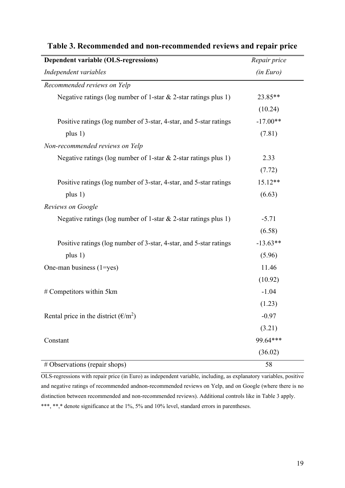| Dependent variable (OLS-regressions)                                                                 | Repair price |
|------------------------------------------------------------------------------------------------------|--------------|
| Independent variables                                                                                | (in Euro)    |
| Recommended reviews on Yelp                                                                          |              |
| Negative ratings (log number of 1-star $\&$ 2-star ratings plus 1)                                   | 23.85**      |
|                                                                                                      | (10.24)      |
| Positive ratings (log number of 3-star, 4-star, and 5-star ratings)                                  | $-17.00**$   |
| plus 1)                                                                                              | (7.81)       |
| Non-recommended reviews on Yelp                                                                      |              |
| Negative ratings (log number of 1-star $\&$ 2-star ratings plus 1)                                   | 2.33         |
|                                                                                                      | (7.72)       |
| Positive ratings (log number of 3-star, 4-star, and 5-star ratings                                   | $15.12**$    |
| plus $1)$                                                                                            | (6.63)       |
| Reviews on Google                                                                                    |              |
| Negative ratings (log number of 1-star $\&$ 2-star ratings plus 1)                                   | $-5.71$      |
|                                                                                                      | (6.58)       |
| Positive ratings (log number of 3-star, 4-star, and 5-star ratings                                   | $-13.63**$   |
| plus $1)$                                                                                            | (5.96)       |
| One-man business (1=yes)                                                                             | 11.46        |
|                                                                                                      | (10.92)      |
| # Competitors within 5km                                                                             | $-1.04$      |
|                                                                                                      | (1.23)       |
| Rental price in the district $(\text{\ensuremath{\mathfrak{E}}}/\text{\ensuremath{\mathfrak{m}}}^2)$ | $-0.97$      |
|                                                                                                      | (3.21)       |
| Constant                                                                                             | 99.64***     |
|                                                                                                      | (36.02)      |
| # Observations (repair shops)                                                                        | 58           |

## **Table 3. Recommended and non-recommended reviews and repair price**

OLS-regressions with repair price (in Euro) as independent variable, including, as explanatory variables, positive and negative ratings of recommended andnon-recommended reviews on Yelp, and on Google (where there is no distinction between recommended and non-recommended reviews). Additional controls like in Table 3 apply. \*\*\*, \*\*,\* denote significance at the 1%, 5% and 10% level, standard errors in parentheses.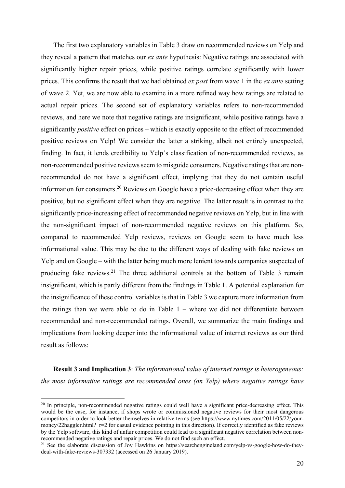The first two explanatory variables in Table 3 draw on recommended reviews on Yelp and they reveal a pattern that matches our *ex ante* hypothesis: Negative ratings are associated with significantly higher repair prices, while positive ratings correlate significantly with lower prices. This confirms the result that we had obtained *ex post* from wave 1 in the *ex ante* setting of wave 2. Yet, we are now able to examine in a more refined way how ratings are related to actual repair prices. The second set of explanatory variables refers to non-recommended reviews, and here we note that negative ratings are insignificant, while positive ratings have a significantly *positive* effect on prices – which is exactly opposite to the effect of recommended positive reviews on Yelp! We consider the latter a striking, albeit not entirely unexpected, finding. In fact, it lends credibility to Yelp's classification of non-recommended reviews, as non-recommended positive reviews seem to misguide consumers. Negative ratings that are nonrecommended do not have a significant effect, implying that they do not contain useful information for consumers.20 Reviews on Google have a price-decreasing effect when they are positive, but no significant effect when they are negative. The latter result is in contrast to the significantly price-increasing effect of recommended negative reviews on Yelp, but in line with the non-significant impact of non-recommended negative reviews on this platform. So, compared to recommended Yelp reviews, reviews on Google seem to have much less informational value. This may be due to the different ways of dealing with fake reviews on Yelp and on Google – with the latter being much more lenient towards companies suspected of producing fake reviews.21 The three additional controls at the bottom of Table 3 remain insignificant, which is partly different from the findings in Table 1. A potential explanation for the insignificance of these control variables is that in Table 3 we capture more information from the ratings than we were able to do in Table 1 – where we did not differentiate between recommended and non-recommended ratings. Overall, we summarize the main findings and implications from looking deeper into the informational value of internet reviews as our third result as follows:

**Result 3 and Implication 3**: *The informational value of internet ratings is heterogeneous: the most informative ratings are recommended ones (on Yelp) where negative ratings have* 

<sup>&</sup>lt;sup>20</sup> In principle, non-recommended negative ratings could well have a significant price-decreasing effect. This would be the case, for instance, if shops wrote or commissioned negative reviews for their most dangerous competitors in order to look better themselves in relative terms (see https://www.nytimes.com/2011/05/22/yourmoney/22haggler.html? r=2 for casual evidence pointing in this direction). If correctly identified as fake reviews by the Yelp software, this kind of unfair competition could lead to a significant negative correlation between nonrecommended negative ratings and repair prices. We do not find such an effect.<br><sup>21</sup> See the elaborate discussion of Joy Hawkins on https://searchengineland.com/yelp-vs-google-how-do-they-

deal-with-fake-reviews-307332 (accessed on 26 January 2019).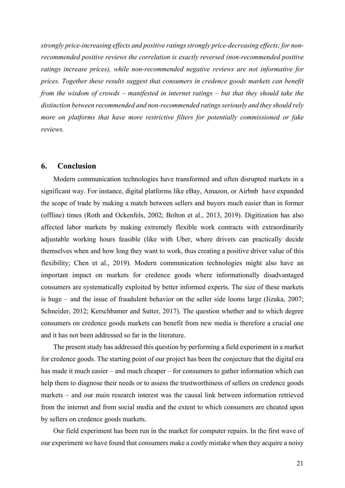*strongly price-increasing effects and positive ratings strongly price-decreasing effects; for nonrecommended positive reviews the correlation is exactly reversed (non-recommended positive ratings increase prices), while non-recommended negative reviews are not informative for prices. Together these results suggest that consumers in credence goods markets can benefit from the wisdom of crowds – manifested in internet ratings – but that they should take the distinction between recommended and non-recommended ratings seriously and they should rely more on platforms that have more restrictive filters for potentially commissioned or fake reviews.*

#### **6. Conclusion**

Modern communication technologies have transformed and often disrupted markets in a significant way. For instance, digital platforms like eBay, Amazon, or Airbnb have expanded the scope of trade by making a match between sellers and buyers much easier than in former (offline) times (Roth and Ockenfels, 2002; Bolton et al., 2013, 2019). Digitization has also affected labor markets by making extremely flexible work contracts with extraordinarily adjustable working hours feasible (like with Uber, where drivers can practically decide themselves when and how long they want to work, thus creating a positive driver value of this flexibility; Chen et al., 2019). Modern communication technologies might also have an important impact on markets for credence goods where informationally disadvantaged consumers are systematically exploited by better informed experts. The size of these markets is huge – and the issue of fraudulent behavior on the seller side looms large (Iizuka, 2007; Schneider, 2012; Kerschbamer and Sutter, 2017). The question whether and to which degree consumers on credence goods markets can benefit from new media is therefore a crucial one and it has not been addressed so far in the literature.

The present study has addressed this question by performing a field experiment in a market for credence goods. The starting point of our project has been the conjecture that the digital era has made it much easier – and much cheaper – for consumers to gather information which can help them to diagnose their needs or to assess the trustworthiness of sellers on credence goods markets – and our main research interest was the causal link between information retrieved from the internet and from social media and the extent to which consumers are cheated upon by sellers on credence goods markets.

Our field experiment has been run in the market for computer repairs. In the first wave of our experiment we have found that consumers make a costly mistake when they acquire a noisy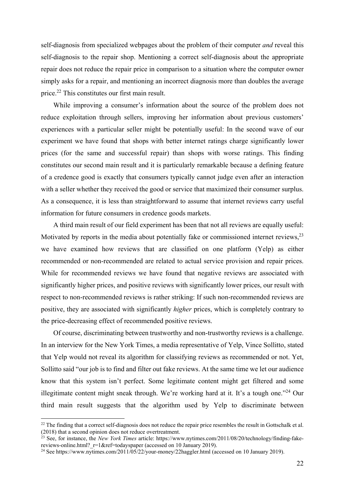self-diagnosis from specialized webpages about the problem of their computer *and* reveal this self-diagnosis to the repair shop. Mentioning a correct self-diagnosis about the appropriate repair does not reduce the repair price in comparison to a situation where the computer owner simply asks for a repair, and mentioning an incorrect diagnosis more than doubles the average price.22 This constitutes our first main result.

While improving a consumer's information about the source of the problem does not reduce exploitation through sellers, improving her information about previous customers' experiences with a particular seller might be potentially useful: In the second wave of our experiment we have found that shops with better internet ratings charge significantly lower prices (for the same and successful repair) than shops with worse ratings. This finding constitutes our second main result and it is particularly remarkable because a defining feature of a credence good is exactly that consumers typically cannot judge even after an interaction with a seller whether they received the good or service that maximized their consumer surplus. As a consequence, it is less than straightforward to assume that internet reviews carry useful information for future consumers in credence goods markets.

A third main result of our field experiment has been that not all reviews are equally useful: Motivated by reports in the media about potentially fake or commissioned internet reviews,<sup>23</sup> we have examined how reviews that are classified on one platform (Yelp) as either recommended or non-recommended are related to actual service provision and repair prices. While for recommended reviews we have found that negative reviews are associated with significantly higher prices, and positive reviews with significantly lower prices, our result with respect to non-recommended reviews is rather striking: If such non-recommended reviews are positive, they are associated with significantly *higher* prices, which is completely contrary to the price-decreasing effect of recommended positive reviews.

Of course, discriminating between trustworthy and non-trustworthy reviews is a challenge. In an interview for the New York Times, a media representative of Yelp, Vince Sollitto, stated that Yelp would not reveal its algorithm for classifying reviews as recommended or not. Yet, Sollitto said "our job is to find and filter out fake reviews. At the same time we let our audience know that this system isn't perfect. Some legitimate content might get filtered and some illegitimate content might sneak through. We're working hard at it. It's a tough one."24 Our third main result suggests that the algorithm used by Yelp to discriminate between

 $22$  The finding that a correct self-diagnosis does not reduce the repair price resembles the result in Gottschalk et al. (2018) that a second opinion does not reduce overtreatment.

 $^{23}$  See, for instance, the *New York Times* article: https://www.nytimes.com/2011/08/20/technology/finding-fake-<br>reviews-online.html? r=1&ref=todayspaper (accessed on 10 January 2019).

<sup>&</sup>lt;sup>24</sup> See https://www.nytimes.com/2011/05/22/your-money/22haggler.html (accessed on 10 January 2019).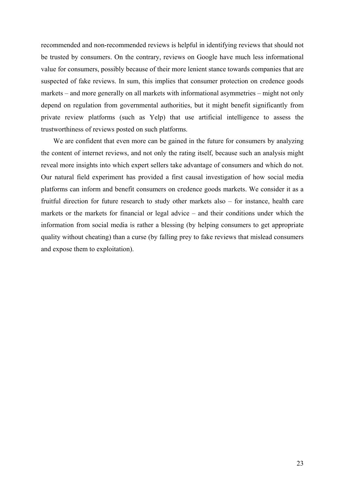recommended and non-recommended reviews is helpful in identifying reviews that should not be trusted by consumers. On the contrary, reviews on Google have much less informational value for consumers, possibly because of their more lenient stance towards companies that are suspected of fake reviews. In sum, this implies that consumer protection on credence goods markets – and more generally on all markets with informational asymmetries – might not only depend on regulation from governmental authorities, but it might benefit significantly from private review platforms (such as Yelp) that use artificial intelligence to assess the trustworthiness of reviews posted on such platforms.

We are confident that even more can be gained in the future for consumers by analyzing the content of internet reviews, and not only the rating itself, because such an analysis might reveal more insights into which expert sellers take advantage of consumers and which do not. Our natural field experiment has provided a first causal investigation of how social media platforms can inform and benefit consumers on credence goods markets. We consider it as a fruitful direction for future research to study other markets also – for instance, health care markets or the markets for financial or legal advice – and their conditions under which the information from social media is rather a blessing (by helping consumers to get appropriate quality without cheating) than a curse (by falling prey to fake reviews that mislead consumers and expose them to exploitation).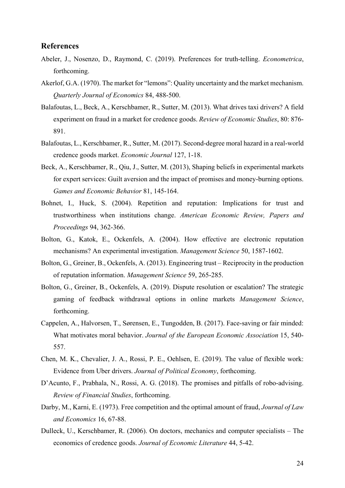### **References**

- Abeler, J., Nosenzo, D., Raymond, C. (2019). Preferences for truth-telling. *Econometrica*, forthcoming.
- Akerlof, G.A. (1970). The market for "lemons": Quality uncertainty and the market mechanism. *Quarterly Journal of Economics* 84, 488-500.
- Balafoutas, L., Beck, A., Kerschbamer, R., Sutter, M. (2013). What drives taxi drivers? A field experiment on fraud in a market for credence goods. *Review of Economic Studies*, 80: 876- 891.
- Balafoutas, L., Kerschbamer, R., Sutter, M. (2017). Second-degree moral hazard in a real-world credence goods market. *Economic Journal* 127, 1-18.
- Beck, A., Kerschbamer, R., Qiu, J., Sutter, M. (2013), Shaping beliefs in experimental markets for expert services: Guilt aversion and the impact of promises and money-burning options. *Games and Economic Behavior* 81, 145-164.
- Bohnet, I., Huck, S. (2004). Repetition and reputation: Implications for trust and trustworthiness when institutions change. *American Economic Review, Papers and Proceedings* 94, 362-366.
- Bolton, G., Katok, E., Ockenfels, A. (2004). How effective are electronic reputation mechanisms? An experimental investigation. *Management Science* 50, 1587-1602.
- Bolton, G., Greiner, B., Ockenfels, A. (2013). Engineering trust Reciprocity in the production of reputation information. *Management Science* 59, 265-285.
- Bolton, G., Greiner, B., Ockenfels, A. (2019). Dispute resolution or escalation? The strategic gaming of feedback withdrawal options in online markets *Management Science*, forthcoming.
- Cappelen, A., Halvorsen, T., Sørensen, E., Tungodden, B. (2017). Face-saving or fair minded: What motivates moral behavior. *Journal of the European Economic Association* 15, 540- 557.
- Chen, M. K., Chevalier, J. A., Rossi, P. E., Oehlsen, E. (2019). The value of flexible work: Evidence from Uber drivers. *Journal of Political Economy*, forthcoming.
- D'Acunto, F., Prabhala, N., Rossi, A. G. (2018). The promises and pitfalls of robo-advising. *Review of Financial Studies*, forthcoming.
- Darby, M., Karni, E. (1973). Free competition and the optimal amount of fraud, *Journal of Law and Economics* 16, 67-88.
- Dulleck, U., Kerschbamer, R. (2006). On doctors, mechanics and computer specialists The economics of credence goods. *Journal of Economic Literature* 44, 5-42.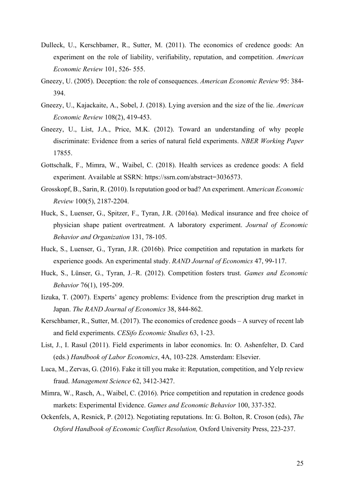- Dulleck, U., Kerschbamer, R., Sutter, M. (2011). The economics of credence goods: An experiment on the role of liability, verifiability, reputation, and competition. *American Economic Review* 101, 526- 555.
- Gneezy, U. (2005). Deception: the role of consequences. *American Economic Review* 95: 384- 394.
- Gneezy, U., Kajackaite, A., Sobel, J. (2018). Lying aversion and the size of the lie. *American Economic Review* 108(2), 419-453.
- Gneezy, U., List, J.A., Price, M.K. (2012). Toward an understanding of why people discriminate: Evidence from a series of natural field experiments. *NBER Working Paper* 17855.
- Gottschalk, F., Mimra, W., Waibel, C. (2018). Health services as credence goods: A field experiment. Available at SSRN: https://ssrn.com/abstract=3036573.
- Grosskopf, B., Sarin, R. (2010). Is reputation good or bad? An experiment. Am*erican Economic Review* 100(5), 2187-2204.
- Huck, S., Luenser, G., Spitzer, F., Tyran, J.R. (2016a). Medical insurance and free choice of physician shape patient overtreatment. A laboratory experiment. *Journal of Economic Behavior and Organization* 131, 78-105.
- Huck, S., Luenser, G., Tyran, J.R. (2016b). Price competition and reputation in markets for experience goods. An experimental study. *RAND Journal of Economics* 47, 99-117.
- Huck, S., Lünser, G., Tyran, J.–R. (2012). Competition fosters trust. *Games and Economic Behavior* 76(1), 195-209.
- Iizuka, T. (2007). Experts' agency problems: Evidence from the prescription drug market in Japan. *The RAND Journal of Economics* 38, 844-862.
- Kerschbamer, R., Sutter, M. (2017). The economics of credence goods A survey of recent lab and field experiments. *CESifo Economic Studies* 63, 1-23.
- List, J., I. Rasul (2011). Field experiments in labor economics. In: O. Ashenfelter, D. Card (eds.) *Handbook of Labor Economics*, 4A, 103-228. Amsterdam: Elsevier.
- Luca, M., Zervas, G. (2016). Fake it till you make it: Reputation, competition, and Yelp review fraud. *Management Science* 62, 3412-3427.
- Mimra, W., Rasch, A., Waibel, C. (2016). Price competition and reputation in credence goods markets: Experimental Evidence. *Games and Economic Behavior* 100, 337-352.
- Ockenfels, A, Resnick, P. (2012). Negotiating reputations. In: G. Bolton, R. Croson (eds), *The Oxford Handbook of Economic Conflict Resolution,* Oxford University Press, 223-237.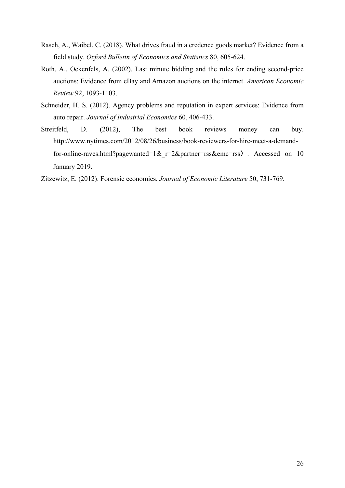- Rasch, A., Waibel, C. (2018). What drives fraud in a credence goods market? Evidence from a field study. *Oxford Bulletin of Economics and Statistics* 80, 605-624.
- Roth, A., Ockenfels, A. (2002). Last minute bidding and the rules for ending second-price auctions: Evidence from eBay and Amazon auctions on the internet. *American Economic Review* 92, 1093-1103.
- Schneider, H. S. (2012). Agency problems and reputation in expert services: Evidence from auto repair. *Journal of Industrial Economics* 60, 406-433.
- Streitfeld, D. (2012), The best book reviews money can buy. http://www.nytimes.com/2012/08/26/business/book-reviewers-for-hire-meet-a-demandfor-online-raves.html?pagewanted=1& r=2&partner=rss&emc=rss〉. Accessed on 10 January 2019.

Zitzewitz, E. (2012). Forensic economics. *Journal of Economic Literature* 50, 731-769.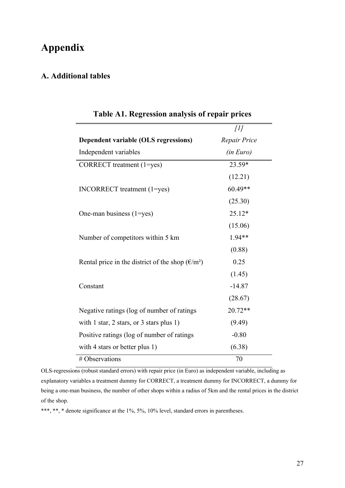## **Appendix**

### **A. Additional tables**

|                                                                                          | $\int$           |
|------------------------------------------------------------------------------------------|------------------|
| Dependent variable (OLS regressions)                                                     | Repair Price     |
| Independent variables                                                                    | <i>(in Euro)</i> |
| CORRECT treatment (1=yes)                                                                | 23.59*           |
|                                                                                          | (12.21)          |
| INCORRECT treatment (1=yes)                                                              | 60.49**          |
|                                                                                          | (25.30)          |
| One-man business (1=yes)                                                                 | 25.12*           |
|                                                                                          | (15.06)          |
| Number of competitors within 5 km                                                        | 1.94**           |
|                                                                                          | (0.88)           |
| Rental price in the district of the shop $(\text{\ensuremath{\mathfrak{E}}}/\text{m}^2)$ | 0.25             |
|                                                                                          | (1.45)           |
| Constant                                                                                 | $-14.87$         |
|                                                                                          | (28.67)          |
| Negative ratings (log of number of ratings                                               | 20.72**          |
| with 1 star, 2 stars, or 3 stars plus 1)                                                 | (9.49)           |
| Positive ratings (log of number of ratings                                               | $-0.80$          |
| with 4 stars or better plus 1)                                                           | (6.38)           |
| # Observations                                                                           | 70               |

### **Table A1. Regression analysis of repair prices**

OLS-regressions (robust standard errors) with repair price (in Euro) as independent variable, including as explanatory variables a treatment dummy for CORRECT, a treatment dummy for INCORRECT, a dummy for being a one-man business, the number of other shops within a radius of 5km and the rental prices in the district of the shop.

\*\*\*, \*\*, \* denote significance at the 1%, 5%, 10% level, standard errors in parentheses.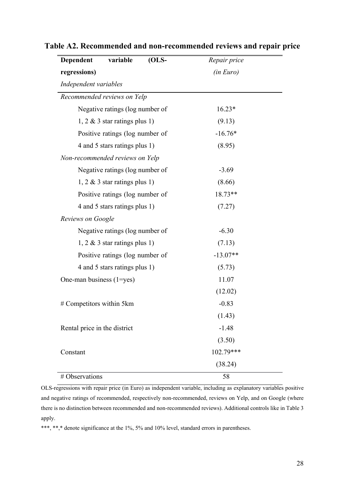| variable<br>$(OLS-$<br>Dependent | Repair price |  |
|----------------------------------|--------------|--|
| regressions)                     | (in Euro)    |  |
| Independent variables            |              |  |
| Recommended reviews on Yelp      |              |  |
| Negative ratings (log number of  | $16.23*$     |  |
| $1, 2 \& 3$ star ratings plus 1) | (9.13)       |  |
| Positive ratings (log number of  | $-16.76*$    |  |
| 4 and 5 stars ratings plus 1)    | (8.95)       |  |
| Non-recommended reviews on Yelp  |              |  |
| Negative ratings (log number of  | $-3.69$      |  |
| $1, 2 \& 3$ star ratings plus 1) | (8.66)       |  |
| Positive ratings (log number of  | 18.73**      |  |
| 4 and 5 stars ratings plus 1)    | (7.27)       |  |
| Reviews on Google                |              |  |
| Negative ratings (log number of  | $-6.30$      |  |
| $1, 2 \& 3$ star ratings plus 1) | (7.13)       |  |
| Positive ratings (log number of  | $-13.07**$   |  |
| 4 and 5 stars ratings plus 1)    | (5.73)       |  |
| One-man business (1=yes)         | 11.07        |  |
|                                  | (12.02)      |  |
| # Competitors within 5km         | $-0.83$      |  |
|                                  | (1.43)       |  |
| Rental price in the district     | $-1.48$      |  |
|                                  | (3.50)       |  |
| Constant                         | 102.79***    |  |
|                                  | (38.24)      |  |
| # Observations                   | 58           |  |

## **Table A2. Recommended and non-recommended reviews and repair price**

OLS-regressions with repair price (in Euro) as independent variable, including as explanatory variables positive and negative ratings of recommended, respectively non-recommended, reviews on Yelp, and on Google (where there is no distinction between recommended and non-recommended reviews). Additional controls like in Table 3 apply.

\*\*\*, \*\*,\* denote significance at the 1%, 5% and 10% level, standard errors in parentheses.